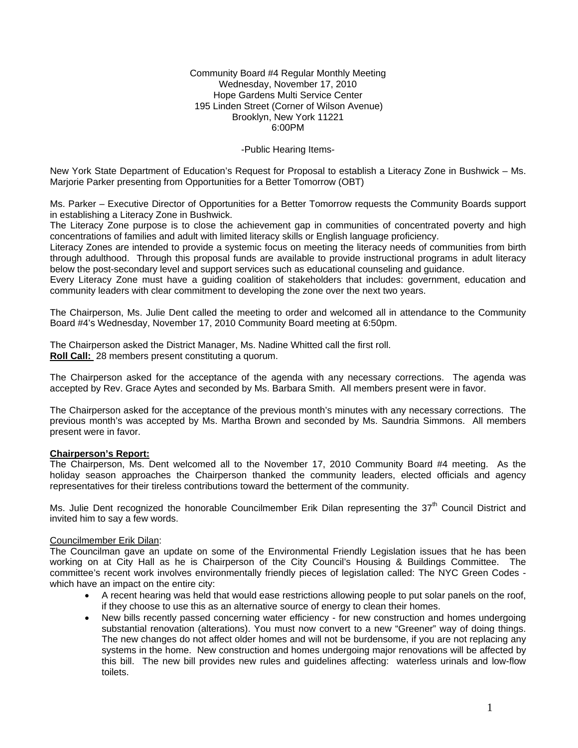#### Community Board #4 Regular Monthly Meeting Wednesday, November 17, 2010 Hope Gardens Multi Service Center 195 Linden Street (Corner of Wilson Avenue) Brooklyn, New York 11221 6:00PM

### -Public Hearing Items-

New York State Department of Education's Request for Proposal to establish a Literacy Zone in Bushwick – Ms. Marjorie Parker presenting from Opportunities for a Better Tomorrow (OBT)

Ms. Parker – Executive Director of Opportunities for a Better Tomorrow requests the Community Boards support in establishing a Literacy Zone in Bushwick.

The Literacy Zone purpose is to close the achievement gap in communities of concentrated poverty and high concentrations of families and adult with limited literacy skills or English language proficiency.

Literacy Zones are intended to provide a systemic focus on meeting the literacy needs of communities from birth through adulthood. Through this proposal funds are available to provide instructional programs in adult literacy below the post-secondary level and support services such as educational counseling and guidance.

Every Literacy Zone must have a guiding coalition of stakeholders that includes: government, education and community leaders with clear commitment to developing the zone over the next two years.

The Chairperson, Ms. Julie Dent called the meeting to order and welcomed all in attendance to the Community Board #4's Wednesday, November 17, 2010 Community Board meeting at 6:50pm.

The Chairperson asked the District Manager, Ms. Nadine Whitted call the first roll. **Roll Call:** 28 members present constituting a quorum.

The Chairperson asked for the acceptance of the agenda with any necessary corrections. The agenda was accepted by Rev. Grace Aytes and seconded by Ms. Barbara Smith. All members present were in favor.

The Chairperson asked for the acceptance of the previous month's minutes with any necessary corrections. The previous month's was accepted by Ms. Martha Brown and seconded by Ms. Saundria Simmons. All members present were in favor.

## **Chairperson's Report:**

The Chairperson, Ms. Dent welcomed all to the November 17, 2010 Community Board #4 meeting. As the holiday season approaches the Chairperson thanked the community leaders, elected officials and agency representatives for their tireless contributions toward the betterment of the community.

Ms. Julie Dent recognized the honorable Councilmember Erik Dilan representing the 37<sup>th</sup> Council District and invited him to say a few words.

### Councilmember Erik Dilan:

The Councilman gave an update on some of the Environmental Friendly Legislation issues that he has been working on at City Hall as he is Chairperson of the City Council's Housing & Buildings Committee. The committee's recent work involves environmentally friendly pieces of legislation called: The NYC Green Codes which have an impact on the entire city:

- A recent hearing was held that would ease restrictions allowing people to put solar panels on the roof, if they choose to use this as an alternative source of energy to clean their homes.
- New bills recently passed concerning water efficiency for new construction and homes undergoing substantial renovation (alterations). You must now convert to a new "Greener" way of doing things. The new changes do not affect older homes and will not be burdensome, if you are not replacing any systems in the home. New construction and homes undergoing major renovations will be affected by this bill. The new bill provides new rules and guidelines affecting: waterless urinals and low-flow toilets.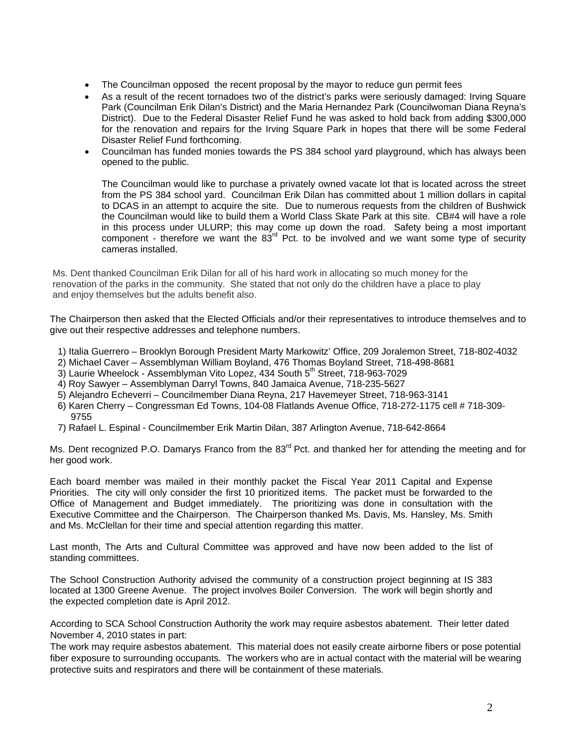- The Councilman opposed the recent proposal by the mayor to reduce gun permit fees
- As a result of the recent tornadoes two of the district's parks were seriously damaged: Irving Square Park (Councilman Erik Dilan's District) and the Maria Hernandez Park (Councilwoman Diana Reyna's District). Due to the Federal Disaster Relief Fund he was asked to hold back from adding \$300,000 for the renovation and repairs for the Irving Square Park in hopes that there will be some Federal Disaster Relief Fund forthcoming.
- Councilman has funded monies towards the PS 384 school yard playground, which has always been opened to the public.

The Councilman would like to purchase a privately owned vacate lot that is located across the street from the PS 384 school yard. Councilman Erik Dilan has committed about 1 million dollars in capital to DCAS in an attempt to acquire the site. Due to numerous requests from the children of Bushwick the Councilman would like to build them a World Class Skate Park at this site. CB#4 will have a role in this process under ULURP; this may come up down the road. Safety being a most important component - therefore we want the  $83<sup>rd</sup>$  Pct. to be involved and we want some type of security cameras installed.

Ms. Dent thanked Councilman Erik Dilan for all of his hard work in allocating so much money for the renovation of the parks in the community. She stated that not only do the children have a place to play and enjoy themselves but the adults benefit also.

The Chairperson then asked that the Elected Officials and/or their representatives to introduce themselves and to give out their respective addresses and telephone numbers.

- 1) Italia Guerrero Brooklyn Borough President Marty Markowitz' Office, 209 Joralemon Street, 718-802-4032
- 2) Michael Caver Assemblyman William Boyland, 476 Thomas Boyland Street, 718-498-8681
- 3) Laurie Wheelock Assemblyman Vito Lopez, 434 South 5<sup>th</sup> Street, 718-963-7029
- 4) Roy Sawyer Assemblyman Darryl Towns, 840 Jamaica Avenue, 718-235-5627
- 5) Alejandro Echeverri Councilmember Diana Reyna, 217 Havemeyer Street, 718-963-3141
- 6) Karen Cherry Congressman Ed Towns, 104-08 Flatlands Avenue Office, 718-272-1175 cell # 718-309- 9755
- 7) Rafael L. Espinal Councilmember Erik Martin Dilan, 387 Arlington Avenue, 718-642-8664

Ms. Dent recognized P.O. Damarys Franco from the 83<sup>rd</sup> Pct. and thanked her for attending the meeting and for her good work.

Each board member was mailed in their monthly packet the Fiscal Year 2011 Capital and Expense Priorities. The city will only consider the first 10 prioritized items. The packet must be forwarded to the Office of Management and Budget immediately. The prioritizing was done in consultation with the Executive Committee and the Chairperson. The Chairperson thanked Ms. Davis, Ms. Hansley, Ms. Smith and Ms. McClellan for their time and special attention regarding this matter.

Last month, The Arts and Cultural Committee was approved and have now been added to the list of standing committees.

The School Construction Authority advised the community of a construction project beginning at IS 383 located at 1300 Greene Avenue. The project involves Boiler Conversion. The work will begin shortly and the expected completion date is April 2012.

 According to SCA School Construction Authority the work may require asbestos abatement. Their letter dated November 4, 2010 states in part:

 The work may require asbestos abatement. This material does not easily create airborne fibers or pose potential fiber exposure to surrounding occupants. The workers who are in actual contact with the material will be wearing protective suits and respirators and there will be containment of these materials.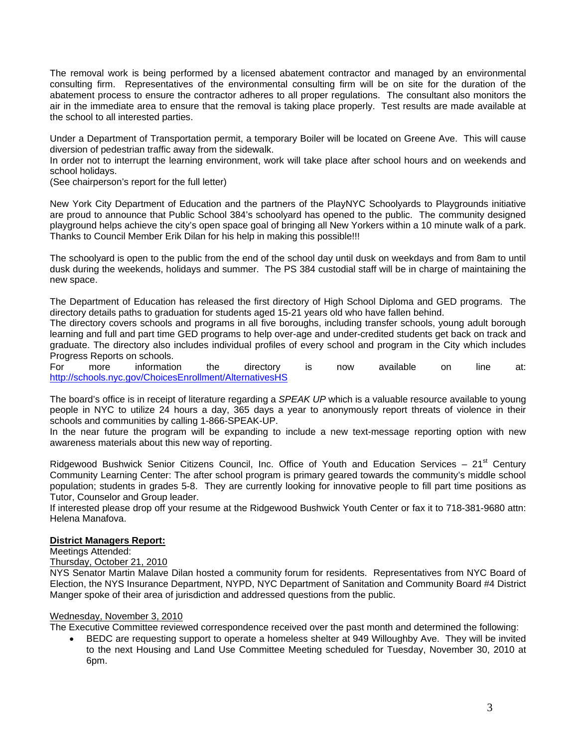The removal work is being performed by a licensed abatement contractor and managed by an environmental consulting firm. Representatives of the environmental consulting firm will be on site for the duration of the abatement process to ensure the contractor adheres to all proper regulations. The consultant also monitors the air in the immediate area to ensure that the removal is taking place properly. Test results are made available at the school to all interested parties.

Under a Department of Transportation permit, a temporary Boiler will be located on Greene Ave. This will cause diversion of pedestrian traffic away from the sidewalk.

In order not to interrupt the learning environment, work will take place after school hours and on weekends and school holidays.

(See chairperson's report for the full letter)

New York City Department of Education and the partners of the PlayNYC Schoolyards to Playgrounds initiative are proud to announce that Public School 384's schoolyard has opened to the public. The community designed playground helps achieve the city's open space goal of bringing all New Yorkers within a 10 minute walk of a park. Thanks to Council Member Erik Dilan for his help in making this possible!!!

The schoolyard is open to the public from the end of the school day until dusk on weekdays and from 8am to until dusk during the weekends, holidays and summer. The PS 384 custodial staff will be in charge of maintaining the new space.

The Department of Education has released the first directory of High School Diploma and GED programs. The directory details paths to graduation for students aged 15-21 years old who have fallen behind.

The directory covers schools and programs in all five boroughs, including transfer schools, young adult borough learning and full and part time GED programs to help over-age and under-credited students get back on track and graduate. The directory also includes individual profiles of every school and program in the City which includes Progress Reports on schools.

For more information the directory is now available on line at: <http://schools.nyc.gov/ChoicesEnrollment/AlternativesHS>

The board's office is in receipt of literature regarding a *SPEAK UP* which is a valuable resource available to young people in NYC to utilize 24 hours a day, 365 days a year to anonymously report threats of violence in their schools and communities by calling 1-866-SPEAK-UP.

In the near future the program will be expanding to include a new text-message reporting option with new awareness materials about this new way of reporting.

Ridgewood Bushwick Senior Citizens Council, Inc. Office of Youth and Education Services – 21<sup>st</sup> Century Community Learning Center: The after school program is primary geared towards the community's middle school population; students in grades 5-8. They are currently looking for innovative people to fill part time positions as Tutor, Counselor and Group leader.

If interested please drop off your resume at the Ridgewood Bushwick Youth Center or fax it to 718-381-9680 attn: Helena Manafova.

### **District Managers Report:**

Meetings Attended:

Thursday, October 21, 2010

NYS Senator Martin Malave Dilan hosted a community forum for residents. Representatives from NYC Board of Election, the NYS Insurance Department, NYPD, NYC Department of Sanitation and Community Board #4 District Manger spoke of their area of jurisdiction and addressed questions from the public.

### Wednesday, November 3, 2010

The Executive Committee reviewed correspondence received over the past month and determined the following:

• BEDC are requesting support to operate a homeless shelter at 949 Willoughby Ave. They will be invited to the next Housing and Land Use Committee Meeting scheduled for Tuesday, November 30, 2010 at 6pm.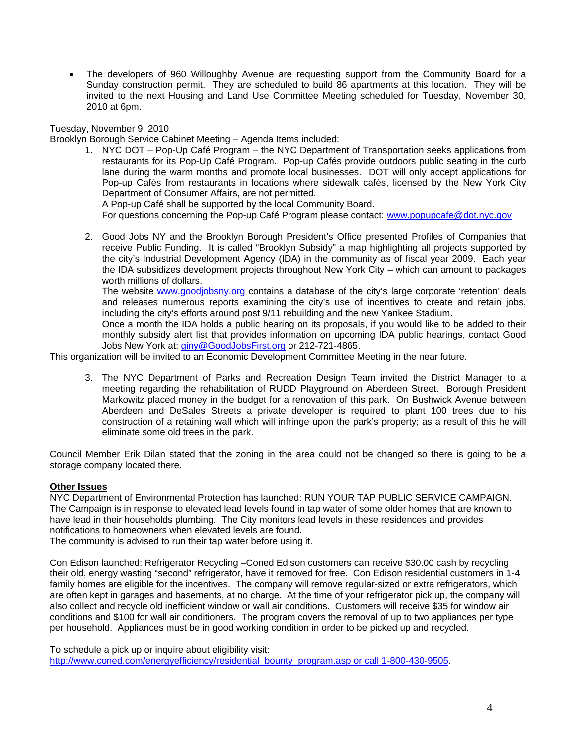• The developers of 960 Willoughby Avenue are requesting support from the Community Board for a Sunday construction permit. They are scheduled to build 86 apartments at this location. They will be invited to the next Housing and Land Use Committee Meeting scheduled for Tuesday, November 30, 2010 at 6pm.

## Tuesday, November 9, 2010

Brooklyn Borough Service Cabinet Meeting – Agenda Items included:

1. NYC DOT – Pop-Up Café Program – the NYC Department of Transportation seeks applications from restaurants for its Pop-Up Café Program. Pop-up Cafés provide outdoors public seating in the curb lane during the warm months and promote local businesses. DOT will only accept applications for Pop-up Cafés from restaurants in locations where sidewalk cafés, licensed by the New York City Department of Consumer Affairs, are not permitted.

A Pop-up Café shall be supported by the local Community Board.

For questions concerning the Pop-up Café Program please contact: [www.popupcafe@dot.nyc.gov](http://www.popupcafe@dot.nyc.gov/)

2. Good Jobs NY and the Brooklyn Borough President's Office presented Profiles of Companies that receive Public Funding. It is called "Brooklyn Subsidy" a map highlighting all projects supported by the city's Industrial Development Agency (IDA) in the community as of fiscal year 2009. Each year the IDA subsidizes development projects throughout New York City – which can amount to packages worth millions of dollars.

The website [www.goodjobsny.org](http://www.goodjobsny.org/) contains a database of the city's large corporate 'retention' deals and releases numerous reports examining the city's use of incentives to create and retain jobs, including the city's efforts around post 9/11 rebuilding and the new Yankee Stadium.

Once a month the IDA holds a public hearing on its proposals, if you would like to be added to their monthly subsidy alert list that provides information on upcoming IDA public hearings, contact Good Jobs New York at: [giny@GoodJobsFirst.org](mailto:giny@GoodJobsFirst.org) or 212-721-4865.

This organization will be invited to an Economic Development Committee Meeting in the near future.

3. The NYC Department of Parks and Recreation Design Team invited the District Manager to a meeting regarding the rehabilitation of RUDD Playground on Aberdeen Street. Borough President Markowitz placed money in the budget for a renovation of this park. On Bushwick Avenue between Aberdeen and DeSales Streets a private developer is required to plant 100 trees due to his construction of a retaining wall which will infringe upon the park's property; as a result of this he will eliminate some old trees in the park.

Council Member Erik Dilan stated that the zoning in the area could not be changed so there is going to be a storage company located there.

### **Other Issues**

NYC Department of Environmental Protection has launched: RUN YOUR TAP PUBLIC SERVICE CAMPAIGN. The Campaign is in response to elevated lead levels found in tap water of some older homes that are known to have lead in their households plumbing. The City monitors lead levels in these residences and provides notifications to homeowners when elevated levels are found.

The community is advised to run their tap water before using it.

Con Edison launched: Refrigerator Recycling –Coned Edison customers can receive \$30.00 cash by recycling their old, energy wasting "second" refrigerator, have it removed for free. Con Edison residential customers in 1-4 family homes are eligible for the incentives. The company will remove regular-sized or extra refrigerators, which are often kept in garages and basements, at no charge. At the time of your refrigerator pick up, the company will also collect and recycle old inefficient window or wall air conditions. Customers will receive \$35 for window air conditions and \$100 for wall air conditioners. The program covers the removal of up to two appliances per type per household. Appliances must be in good working condition in order to be picked up and recycled.

To schedule a pick up or inquire about eligibility visit: [http://www.coned.com/energyefficiency/residential\\_bounty\\_program.asp or call 1-800-430-9505](http://www.coned.com/energyefficiency/residential_bounty_program.asp%20or%20call%201-800-430-9505).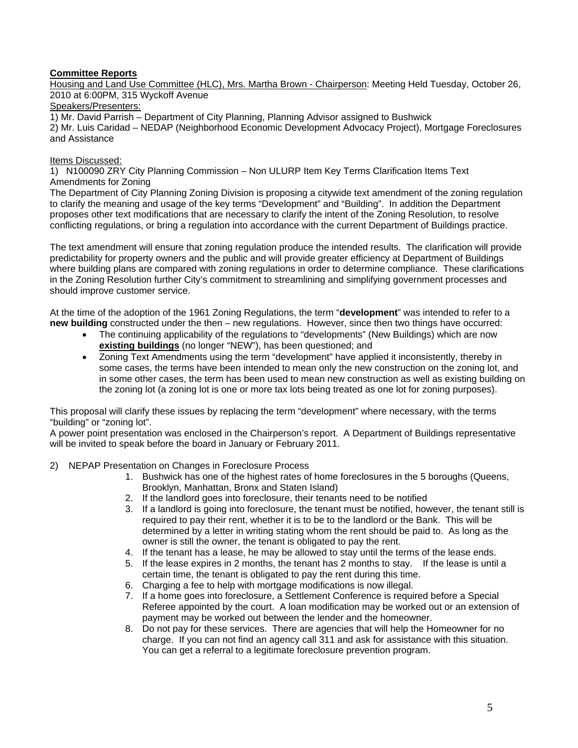# **Committee Reports**

Housing and Land Use Committee (HLC), Mrs. Martha Brown - Chairperson: Meeting Held Tuesday, October 26, 2010 at 6:00PM, 315 Wyckoff Avenue

# Speakers/Presenters:

1) Mr. David Parrish – Department of City Planning, Planning Advisor assigned to Bushwick 2) Mr. Luis Caridad – NEDAP (Neighborhood Economic Development Advocacy Project), Mortgage Foreclosures and Assistance

## Items Discussed:

1) N100090 ZRY City Planning Commission – Non ULURP Item Key Terms Clarification Items Text Amendments for Zoning

The Department of City Planning Zoning Division is proposing a citywide text amendment of the zoning regulation to clarify the meaning and usage of the key terms "Development" and "Building". In addition the Department proposes other text modifications that are necessary to clarify the intent of the Zoning Resolution, to resolve conflicting regulations, or bring a regulation into accordance with the current Department of Buildings practice.

The text amendment will ensure that zoning regulation produce the intended results. The clarification will provide predictability for property owners and the public and will provide greater efficiency at Department of Buildings where building plans are compared with zoning regulations in order to determine compliance. These clarifications in the Zoning Resolution further City's commitment to streamlining and simplifying government processes and should improve customer service.

At the time of the adoption of the 1961 Zoning Regulations, the term "**development**" was intended to refer to a **new building** constructed under the then – new regulations. However, since then two things have occurred:

- The continuing applicability of the regulations to "developments" (New Buildings) which are now **existing buildings** (no longer "NEW"), has been questioned; and
- Zoning Text Amendments using the term "development" have applied it inconsistently, thereby in some cases, the terms have been intended to mean only the new construction on the zoning lot, and in some other cases, the term has been used to mean new construction as well as existing building on the zoning lot (a zoning lot is one or more tax lots being treated as one lot for zoning purposes).

This proposal will clarify these issues by replacing the term "development" where necessary, with the terms "building" or "zoning lot".

A power point presentation was enclosed in the Chairperson's report. A Department of Buildings representative will be invited to speak before the board in January or February 2011.

- 2) NEPAP Presentation on Changes in Foreclosure Process
	- 1. Bushwick has one of the highest rates of home foreclosures in the 5 boroughs (Queens, Brooklyn, Manhattan, Bronx and Staten Island)
	- 2. If the landlord goes into foreclosure, their tenants need to be notified
	- 3. If a landlord is going into foreclosure, the tenant must be notified, however, the tenant still is required to pay their rent, whether it is to be to the landlord or the Bank. This will be determined by a letter in writing stating whom the rent should be paid to. As long as the owner is still the owner, the tenant is obligated to pay the rent.
	- 4. If the tenant has a lease, he may be allowed to stay until the terms of the lease ends.
	- 5. If the lease expires in 2 months, the tenant has 2 months to stay. If the lease is until a certain time, the tenant is obligated to pay the rent during this time.
	- 6. Charging a fee to help with mortgage modifications is now illegal.
	- 7. If a home goes into foreclosure, a Settlement Conference is required before a Special Referee appointed by the court. A loan modification may be worked out or an extension of payment may be worked out between the lender and the homeowner.
	- 8. Do not pay for these services. There are agencies that will help the Homeowner for no charge. If you can not find an agency call 311 and ask for assistance with this situation. You can get a referral to a legitimate foreclosure prevention program.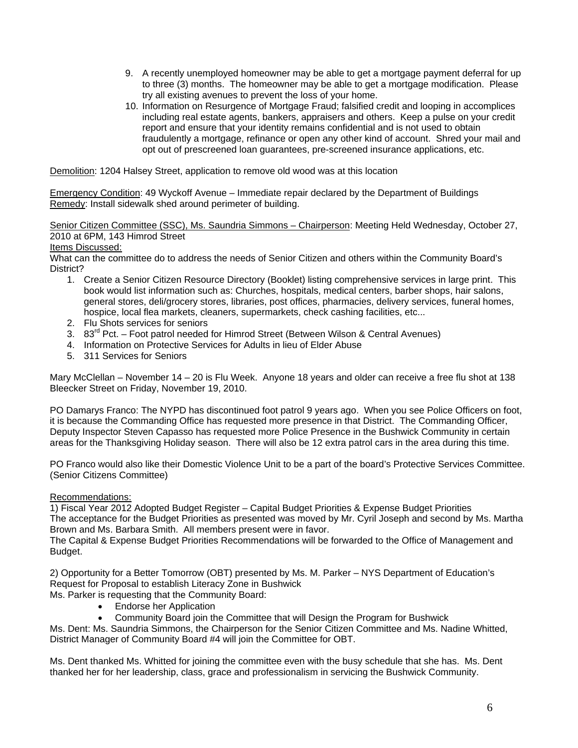- 9. A recently unemployed homeowner may be able to get a mortgage payment deferral for up to three (3) months. The homeowner may be able to get a mortgage modification. Please try all existing avenues to prevent the loss of your home.
- 10. Information on Resurgence of Mortgage Fraud; falsified credit and looping in accomplices including real estate agents, bankers, appraisers and others. Keep a pulse on your credit report and ensure that your identity remains confidential and is not used to obtain fraudulently a mortgage, refinance or open any other kind of account. Shred your mail and opt out of prescreened loan guarantees, pre-screened insurance applications, etc.

Demolition: 1204 Halsey Street, application to remove old wood was at this location

Emergency Condition: 49 Wyckoff Avenue – Immediate repair declared by the Department of Buildings Remedy: Install sidewalk shed around perimeter of building.

Senior Citizen Committee (SSC), Ms. Saundria Simmons – Chairperson: Meeting Held Wednesday, October 27, 2010 at 6PM, 143 Himrod Street

### Items Discussed:

What can the committee do to address the needs of Senior Citizen and others within the Community Board's District?

- 1. Create a Senior Citizen Resource Directory (Booklet) listing comprehensive services in large print. This book would list information such as: Churches, hospitals, medical centers, barber shops, hair salons, general stores, deli/grocery stores, libraries, post offices, pharmacies, delivery services, funeral homes, hospice, local flea markets, cleaners, supermarkets, check cashing facilities, etc...
- 2. Flu Shots services for seniors
- 3.  $83<sup>rd</sup>$  Pct. Foot patrol needed for Himrod Street (Between Wilson & Central Avenues)
- 4. Information on Protective Services for Adults in lieu of Elder Abuse
- 5. 311 Services for Seniors

Mary McClellan – November 14 – 20 is Flu Week. Anyone 18 years and older can receive a free flu shot at 138 Bleecker Street on Friday, November 19, 2010.

PO Damarys Franco: The NYPD has discontinued foot patrol 9 years ago. When you see Police Officers on foot, it is because the Commanding Office has requested more presence in that District. The Commanding Officer, Deputy Inspector Steven Capasso has requested more Police Presence in the Bushwick Community in certain areas for the Thanksgiving Holiday season. There will also be 12 extra patrol cars in the area during this time.

PO Franco would also like their Domestic Violence Unit to be a part of the board's Protective Services Committee. (Senior Citizens Committee)

### Recommendations:

1) Fiscal Year 2012 Adopted Budget Register – Capital Budget Priorities & Expense Budget Priorities The acceptance for the Budget Priorities as presented was moved by Mr. Cyril Joseph and second by Ms. Martha Brown and Ms. Barbara Smith. All members present were in favor.

The Capital & Expense Budget Priorities Recommendations will be forwarded to the Office of Management and Budget.

2) Opportunity for a Better Tomorrow (OBT) presented by Ms. M. Parker – NYS Department of Education's Request for Proposal to establish Literacy Zone in Bushwick

Ms. Parker is requesting that the Community Board:

- Endorse her Application
- Community Board join the Committee that will Design the Program for Bushwick

Ms. Dent: Ms. Saundria Simmons, the Chairperson for the Senior Citizen Committee and Ms. Nadine Whitted, District Manager of Community Board #4 will join the Committee for OBT.

Ms. Dent thanked Ms. Whitted for joining the committee even with the busy schedule that she has. Ms. Dent thanked her for her leadership, class, grace and professionalism in servicing the Bushwick Community.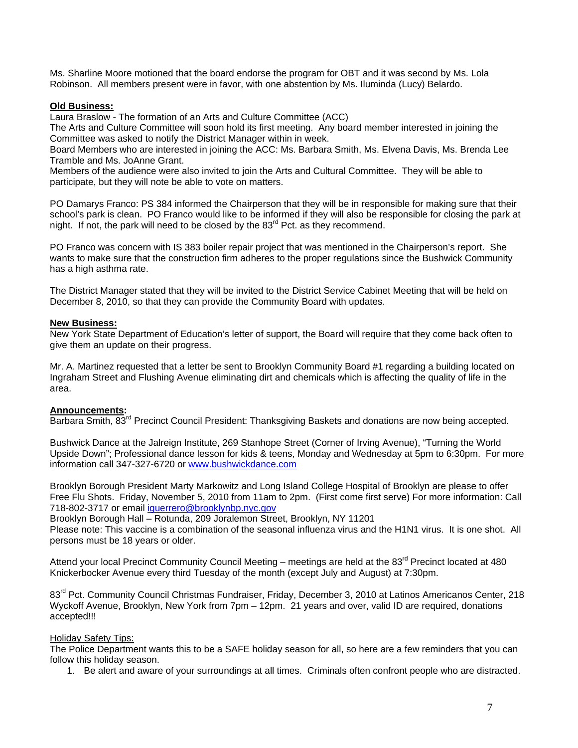Ms. Sharline Moore motioned that the board endorse the program for OBT and it was second by Ms. Lola Robinson. All members present were in favor, with one abstention by Ms. Iluminda (Lucy) Belardo.

## **Old Business:**

Laura Braslow - The formation of an Arts and Culture Committee (ACC)

The Arts and Culture Committee will soon hold its first meeting. Any board member interested in joining the Committee was asked to notify the District Manager within in week.

Board Members who are interested in joining the ACC: Ms. Barbara Smith, Ms. Elvena Davis, Ms. Brenda Lee Tramble and Ms. JoAnne Grant.

Members of the audience were also invited to join the Arts and Cultural Committee. They will be able to participate, but they will note be able to vote on matters.

PO Damarys Franco: PS 384 informed the Chairperson that they will be in responsible for making sure that their school's park is clean. PO Franco would like to be informed if they will also be responsible for closing the park at night. If not, the park will need to be closed by the  $83<sup>rd</sup>$  Pct. as they recommend.

PO Franco was concern with IS 383 boiler repair project that was mentioned in the Chairperson's report. She wants to make sure that the construction firm adheres to the proper regulations since the Bushwick Community has a high asthma rate.

The District Manager stated that they will be invited to the District Service Cabinet Meeting that will be held on December 8, 2010, so that they can provide the Community Board with updates.

### **New Business:**

New York State Department of Education's letter of support, the Board will require that they come back often to give them an update on their progress.

Mr. A. Martinez requested that a letter be sent to Brooklyn Community Board #1 regarding a building located on Ingraham Street and Flushing Avenue eliminating dirt and chemicals which is affecting the quality of life in the area.

## **Announcements:**

Barbara Smith, 83<sup>rd</sup> Precinct Council President: Thanksgiving Baskets and donations are now being accepted.

Bushwick Dance at the Jalreign Institute, 269 Stanhope Street (Corner of Irving Avenue), "Turning the World Upside Down"; Professional dance lesson for kids & teens, Monday and Wednesday at 5pm to 6:30pm. For more information call 347-327-6720 or [www.bushwickdance.com](http://www.bushwickdance.com/)

Brooklyn Borough President Marty Markowitz and Long Island College Hospital of Brooklyn are please to offer Free Flu Shots. Friday, November 5, 2010 from 11am to 2pm. (First come first serve) For more information: Call 718-802-3717 or email [iguerrero@brooklynbp.nyc.gov](mailto:iguerrero@brooklynbp.nyc.gov) 

Brooklyn Borough Hall – Rotunda, 209 Joralemon Street, Brooklyn, NY 11201

Please note: This vaccine is a combination of the seasonal influenza virus and the H1N1 virus. It is one shot. All persons must be 18 years or older.

Attend your local Precinct Community Council Meeting – meetings are held at the 83<sup>rd</sup> Precinct located at 480 Knickerbocker Avenue every third Tuesday of the month (except July and August) at 7:30pm.

83<sup>rd</sup> Pct. Community Council Christmas Fundraiser, Friday, December 3, 2010 at Latinos Americanos Center, 218 Wyckoff Avenue, Brooklyn, New York from 7pm – 12pm. 21 years and over, valid ID are required, donations accepted!!!

## Holiday Safety Tips:

The Police Department wants this to be a SAFE holiday season for all, so here are a few reminders that you can follow this holiday season.

1. Be alert and aware of your surroundings at all times. Criminals often confront people who are distracted.